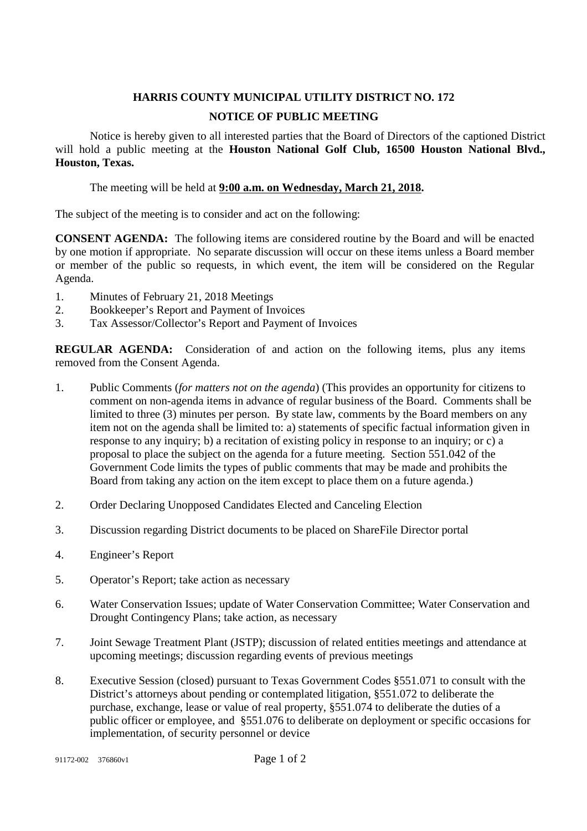## **HARRIS COUNTY MUNICIPAL UTILITY DISTRICT NO. 172 NOTICE OF PUBLIC MEETING**

Notice is hereby given to all interested parties that the Board of Directors of the captioned District will hold a public meeting at the **Houston National Golf Club, 16500 Houston National Blvd., Houston, Texas.**

The meeting will be held at **9:00 a.m. on Wednesday, March 21, 2018.**

The subject of the meeting is to consider and act on the following:

**CONSENT AGENDA:** The following items are considered routine by the Board and will be enacted by one motion if appropriate. No separate discussion will occur on these items unless a Board member or member of the public so requests, in which event, the item will be considered on the Regular Agenda.

- 1. Minutes of February 21, 2018 Meetings
- 2. Bookkeeper's Report and Payment of Invoices
- 3. Tax Assessor/Collector's Report and Payment of Invoices

**REGULAR AGENDA:** Consideration of and action on the following items, plus any items removed from the Consent Agenda.

- 1. Public Comments (*for matters not on the agenda*) (This provides an opportunity for citizens to comment on non-agenda items in advance of regular business of the Board. Comments shall be limited to three (3) minutes per person. By state law, comments by the Board members on any item not on the agenda shall be limited to: a) statements of specific factual information given in response to any inquiry; b) a recitation of existing policy in response to an inquiry; or c) a proposal to place the subject on the agenda for a future meeting. Section 551.042 of the Government Code limits the types of public comments that may be made and prohibits the Board from taking any action on the item except to place them on a future agenda.)
- 2. Order Declaring Unopposed Candidates Elected and Canceling Election
- 3. Discussion regarding District documents to be placed on ShareFile Director portal
- 4. Engineer's Report
- 5. Operator's Report; take action as necessary
- 6. Water Conservation Issues; update of Water Conservation Committee; Water Conservation and Drought Contingency Plans; take action, as necessary
- 7. Joint Sewage Treatment Plant (JSTP); discussion of related entities meetings and attendance at upcoming meetings; discussion regarding events of previous meetings
- 8. Executive Session (closed) pursuant to Texas Government Codes §551.071 to consult with the District's attorneys about pending or contemplated litigation, §551.072 to deliberate the purchase, exchange, lease or value of real property, §551.074 to deliberate the duties of a public officer or employee, and §551.076 to deliberate on deployment or specific occasions for implementation, of security personnel or device